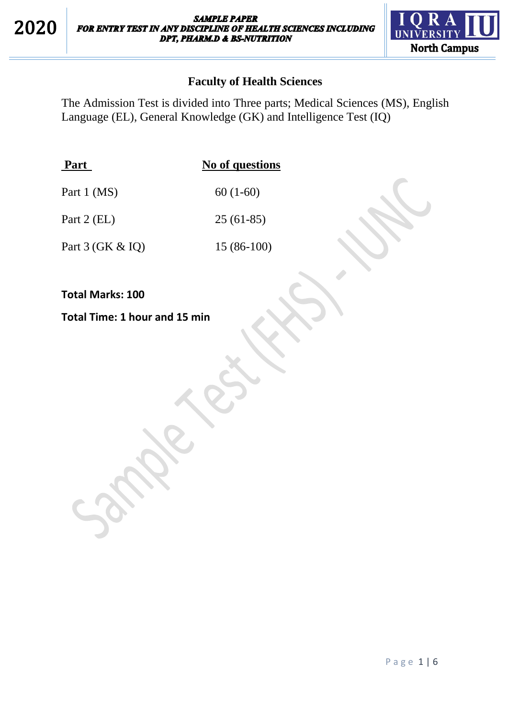

## **Faculty of Health Sciences**

The Admission Test is divided into Three parts; Medical Sciences (MS), English Language (EL), General Knowledge (GK) and Intelligence Test (IQ)

| Part        | No of questions |
|-------------|-----------------|
| Part 1 (MS) | $60(1-60)$      |

Part 2 (EL) 25 (61-85)

Part 3 (GK & IQ) 15 (86-100)

**Total Marks: 100**

**Total Time: 1 hour and 15 min**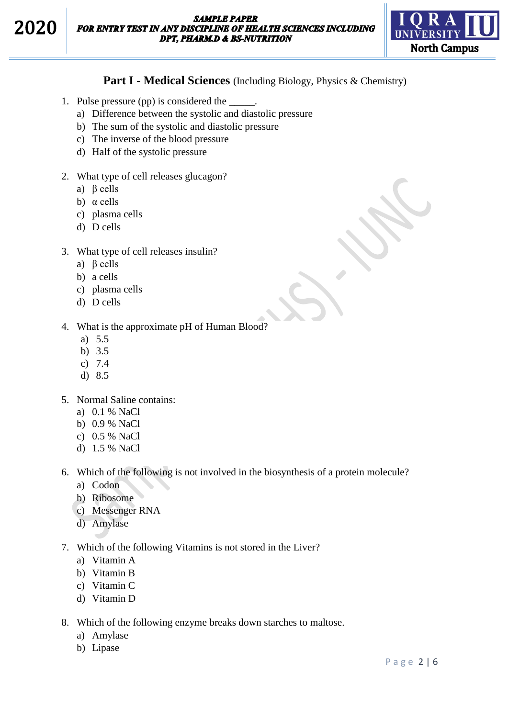

### **Part I - Medical Sciences** (Including Biology, Physics & Chemistry)

- 1. Pulse pressure (pp) is considered the \_\_\_\_\_.
	- a) Difference between the systolic and diastolic pressure
	- b) The sum of the systolic and diastolic pressure
	- c) The inverse of the blood pressure
	- d) Half of the systolic pressure
- 2. What type of cell releases glucagon?
	- a) β cells
	- b) α cells
	- c) plasma cells
	- d) D cells
- 3. What type of cell releases insulin?
	- a) β cells
	- b) a cells
	- c) plasma cells
	- d) D cells

4. What is the approximate pH of Human Blood?

- a) 5.5
- b) 3.5
- c) 7.4
- d) 8.5
- 5. Normal Saline contains:
	- a) 0.1 % NaCl
	- b) 0.9 % NaCl
	- c) 0.5 % NaCl
	- d) 1.5 % NaCl

6. Which of the following is not involved in the biosynthesis of a protein molecule?

- a) Codon
- b) Ribosome
- c) Messenger RNA
- d) Amylase

7. Which of the following Vitamins is not stored in the Liver?

- a) Vitamin A
- b) Vitamin B
- c) Vitamin C
- d) Vitamin D
- 8. Which of the following enzyme breaks down starches to maltose.
	- a) Amylase
	- b) Lipase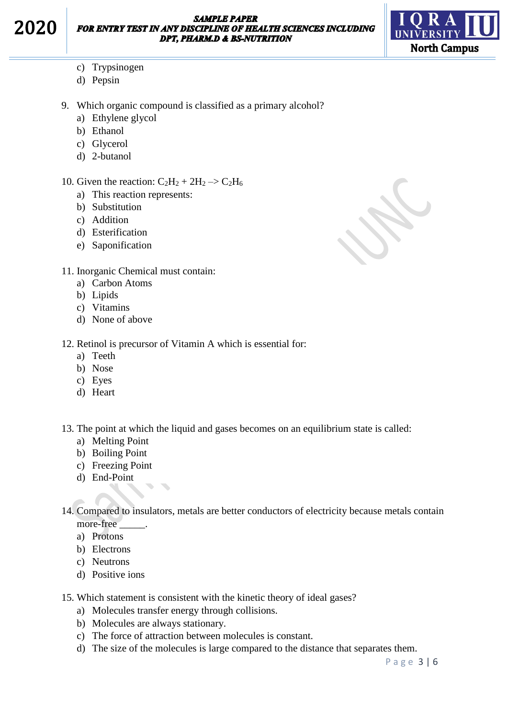2020



- c) Trypsinogen
- d) Pepsin
- 9. Which organic compound is classified as a primary alcohol?
	- a) Ethylene glycol
	- b) Ethanol
	- c) Glycerol
	- d) 2-butanol
- 10. Given the reaction:  $C_2H_2 + 2H_2 \rightarrow C_2H_6$ 
	- a) This reaction represents:
	- b) Substitution
	- c) Addition
	- d) Esterification
	- e) Saponification
- 11. Inorganic Chemical must contain:
	- a) Carbon Atoms
	- b) Lipids
	- c) Vitamins
	- d) None of above
- 12. Retinol is precursor of Vitamin A which is essential for:
	- a) Teeth
	- b) Nose
	- c) Eyes
	- d) Heart
- 13. The point at which the liquid and gases becomes on an equilibrium state is called:
	- a) Melting Point
	- b) Boiling Point
	- c) Freezing Point
	- d) End-Point
- 14. Compared to insulators, metals are better conductors of electricity because metals contain more-free
	- a) Protons
	- b) Electrons
	- c) Neutrons
	- d) Positive ions
- 15. Which statement is consistent with the kinetic theory of ideal gases?
	- a) Molecules transfer energy through collisions.
	- b) Molecules are always stationary.
	- c) The force of attraction between molecules is constant.
	- d) The size of the molecules is large compared to the distance that separates them.

P a g e 3 | 6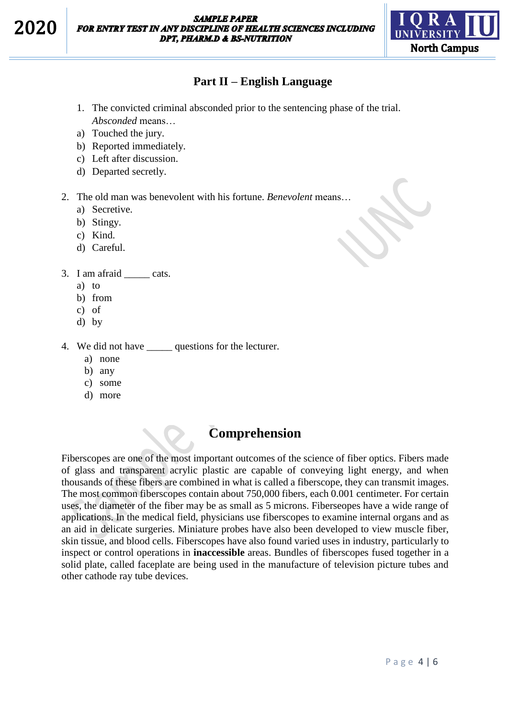

### **Part II – English Language**

- 1. The convicted criminal absconded prior to the sentencing phase of the trial. *Absconded* means…
- a) Touched the jury.
- b) Reported immediately.
- c) Left after discussion.
- d) Departed secretly.
- 2. The old man was benevolent with his fortune. *Benevolent* means…
	- a) Secretive.
	- b) Stingy.
	- c) Kind.
	- d) Careful.

#### 3. I am afraid \_\_\_\_\_ cats.

- a) to
- b) from
- c) of
- d) by

4. We did not have \_\_\_\_\_ questions for the lecturer.

- a) none
- b) any
- c) some
- d) more

# **Comprehension**

Fiberscopes are one of the most important outcomes of the science of fiber optics. Fibers made of glass and transparent acrylic plastic are capable of conveying light energy, and when thousands of these fibers are combined in what is called a fiberscope, they can transmit images. The most common fiberscopes contain about 750,000 fibers, each 0.001 centimeter. For certain uses, the diameter of the fiber may be as small as 5 microns. Fiberseopes have a wide range of applications. In the medical field, physicians use fiberscopes to examine internal organs and as an aid in delicate surgeries. Miniature probes have also been developed to view muscle fiber, skin tissue, and blood cells. Fiberscopes have also found varied uses in industry, particularly to inspect or control operations in **inaccessible** areas. Bundles of fiberscopes fused together in a solid plate, called faceplate are being used in the manufacture of television picture tubes and other cathode ray tube devices.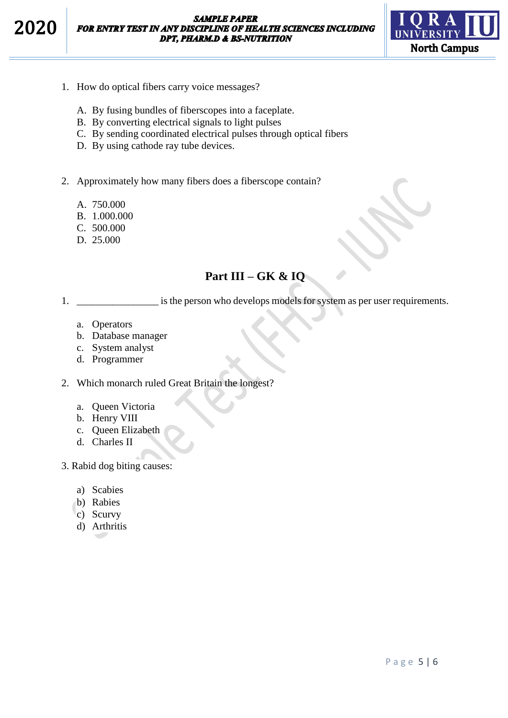**SAMPLE PAPER** FOR ENTRY TEST IN ANY DISCIPLINE OF HEALTH SCIENCES INCLUDING **DPT, PHARM.D & BS-NUTRITION** 



- 1. How do optical fibers carry voice messages?
	- A. By fusing bundles of fiberscopes into a faceplate.
	- B. By converting electrical signals to light pulses
	- C. By sending coordinated electrical pulses through optical fibers
	- D. By using cathode ray tube devices.
- 2. Approximately how many fibers does a fiberscope contain?
	- A. 750.000
	- B. 1.000.000
	- C. 500.000
	- D. 25.000

## **Part III – GK & IQ**

1. \_\_\_\_\_\_\_\_\_\_\_\_\_\_\_\_\_\_\_\_ is the person who develops models for system as per user requirements.

- a. Operators
- b. Database manager
- c. System analyst
- d. Programmer
- 2. Which monarch ruled Great Britain the longest?
	- a. Queen Victoria
	- b. Henry VIII
	- c. Queen Elizabeth
	- d. Charles II
- 3. Rabid dog biting causes:
	- a) Scabies
	- b) Rabies
	- c) Scurvy
	- d) Arthritis